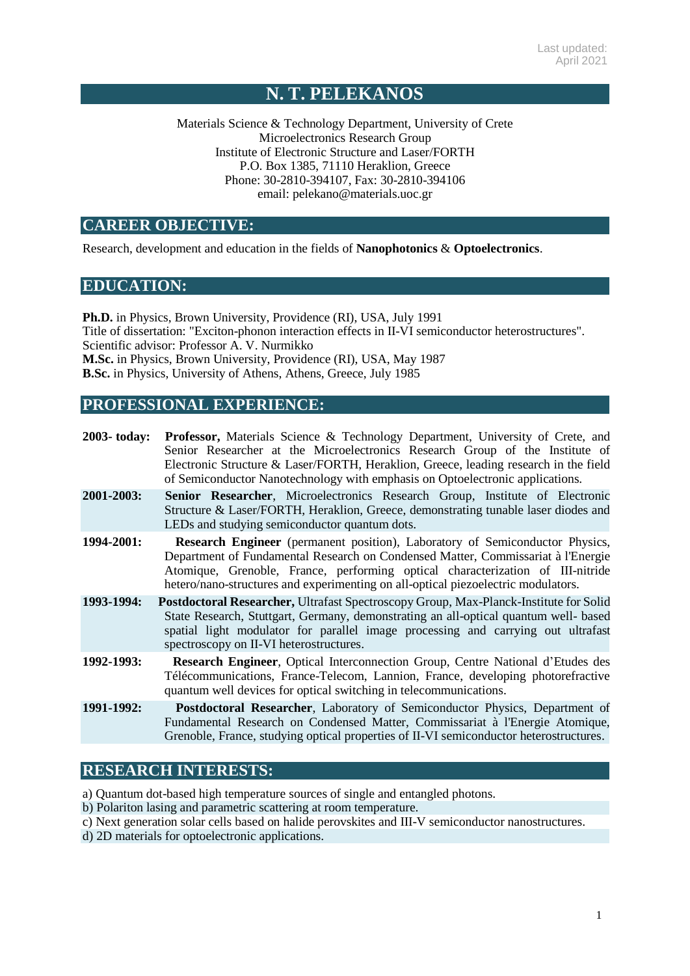# **N. T. PELEKANOS**

Materials Science & Technology Department, University of Crete Microelectronics Research Group Institute of Electronic Structure and Laser/FORTH P.O. Box 1385, 71110 Heraklion, Greece Phone: 30-2810-394107, Fax: 30-2810-394106 email: [pelekano@materials.uoc.gr](mailto:pelekano@materials.uoc.gr)

## **CAREER OBJECTIVE:**

Research, development and education in the fields of **Nanophotonics** & **Optoelectronics**.

### **EDUCATION:**

**Ph.D.** in Physics, Brown University, Providence (RI), USA, July 1991 Title of dissertation: "Exciton-phonon interaction effects in II-VI semiconductor heterostructures". Scientific advisor: Professor A. V. Nurmikko **M.Sc.** in Physics, Brown University, Providence (RI), USA, May 1987 **B.Sc.** in Physics, University of Athens, Athens, Greece, July 1985

## **PROFESSIONAL EXPERIENCE:**

| 2003-today: | <b>Professor,</b> Materials Science & Technology Department, University of Crete, and<br>Senior Researcher at the Microelectronics Research Group of the Institute of<br>Electronic Structure & Laser/FORTH, Heraklion, Greece, leading research in the field<br>of Semiconductor Nanotechnology with emphasis on Optoelectronic applications. |
|-------------|------------------------------------------------------------------------------------------------------------------------------------------------------------------------------------------------------------------------------------------------------------------------------------------------------------------------------------------------|
| 2001-2003:  | Senior Researcher, Microelectronics Research Group, Institute of Electronic<br>Structure & Laser/FORTH, Heraklion, Greece, demonstrating tunable laser diodes and<br>LEDs and studying semiconductor quantum dots.                                                                                                                             |
| 1994-2001:  | <b>Research Engineer</b> (permanent position), Laboratory of Semiconductor Physics,<br>Department of Fundamental Research on Condensed Matter, Commissariat à l'Energie<br>Atomique, Grenoble, France, performing optical characterization of III-nitride<br>hetero/nano-structures and experimenting on all-optical piezoelectric modulators. |
| 1993-1994:  | Postdoctoral Researcher, Ultrafast Spectroscopy Group, Max-Planck-Institute for Solid<br>State Research, Stuttgart, Germany, demonstrating an all-optical quantum well- based<br>spatial light modulator for parallel image processing and carrying out ultrafast<br>spectroscopy on II-VI heterostructures.                                   |
| 1992-1993:  | <b>Research Engineer, Optical Interconnection Group, Centre National d'Etudes des</b><br>Télécommunications, France-Telecom, Lannion, France, developing photorefractive<br>quantum well devices for optical switching in telecommunications.                                                                                                  |
| 1991-1992:  | Postdoctoral Researcher, Laboratory of Semiconductor Physics, Department of<br>Fundamental Research on Condensed Matter, Commissariat à l'Energie Atomique,<br>Grenoble, France, studying optical properties of II-VI semiconductor heterostructures.                                                                                          |

## **RESEARCH INTERESTS:**

a) Quantum dot-based high temperature sources of single and entangled photons.

- b) Polariton lasing and parametric scattering at room temperature.
- c) Next generation solar cells based on halide perovskites and III-V semiconductor nanostructures.

d) 2D materials for optoelectronic applications.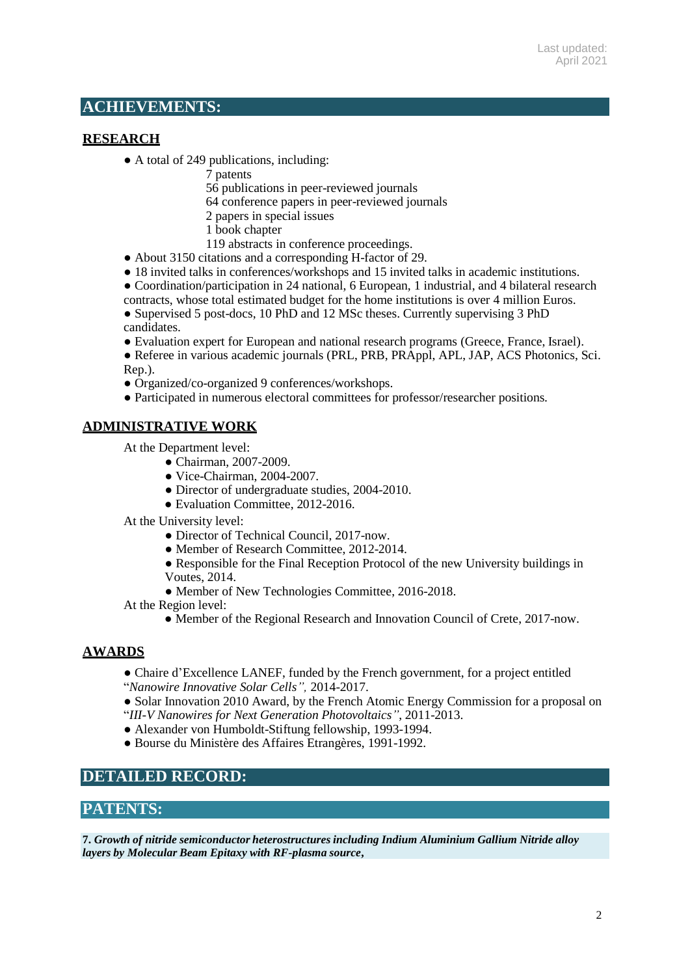## **ACHIEVEMENTS:**

### **RESEARCH**

- A total of 249 publications, including:
	- 7 patents
	- 56 publications in peer-reviewed journals
	- 64 conference papers in peer-reviewed journals
	- 2 papers in special issues
	- 1 book chapter
	- 119 abstracts in conference proceedings.
- About 3150 citations and a corresponding H-factor of 29.
- 18 invited talks in conferences/workshops and 15 invited talks in academic institutions.
- Coordination/participation in 24 national, 6 European, 1 industrial, and 4 bilateral research
- contracts, whose total estimated budget for the home institutions is over 4 million Euros. • Supervised 5 post-docs, 10 PhD and 12 MSc theses. Currently supervising 3 PhD candidates.
- Evaluation expert for European and national research programs (Greece, France, Israel).
- Referee in various academic journals (PRL, PRB, PRAppl, APL, JAP, ACS Photonics, Sci. Rep.).
- Organized/co-organized 9 conferences/workshops.
- Participated in numerous electoral committees for professor/researcher positions.

## **ADMINISTRATIVE WORK**

- At the Department level:
	- Chairman, 2007-2009.
	- Vice-Chairman, 2004-2007.
	- Director of undergraduate studies, 2004-2010.
	- Evaluation Committee, 2012-2016.
- At the University level:
	- Director of Technical Council, 2017-now.
	- Member of Research Committee, 2012-2014.
	- Responsible for the Final Reception Protocol of the new University buildings in Voutes, 2014.
	- Member of New Technologies Committee, 2016-2018.
- At the Region level:
	- Member of the Regional Research and Innovation Council of Crete, 2017-now.

### **AWARDS**

- Chaire d'Excellence LANEF, funded by the French government, for a project entitled
- "*Nanowire Innovative Solar Cells",* 2014-2017.
- Solar Innovation 2010 Award, by the French Atomic Energy Commission for a proposal on "*III-V Nanowires for Next Generation Photovoltaics"*, 2011-2013.
- Alexander von Humboldt-Stiftung fellowship, 1993-1994.
- Bourse du Ministère des Affaires Etrangères, 1991-1992.

## **DETAILED RECORD:**

## **PATENTS:**

**7.** *Growth of nitride semiconductor heterostructuresincluding Indium Aluminium Gallium Nitride alloy layers by Molecular Beam Epitaxy with RF-plasma source***,**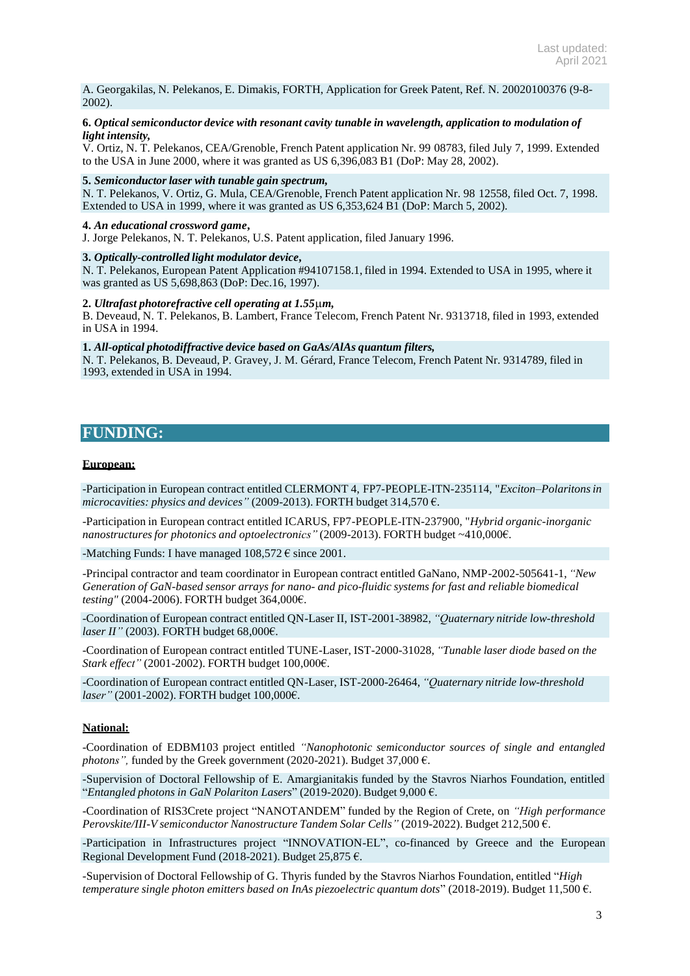A. Georgakilas, N. Pelekanos, E. Dimakis, FORTH, Application for Greek Patent, Ref. N. 20020100376 (9-8- 2002).

#### **6.** *Optical semiconductor device with resonant cavity tunable in wavelength, application to modulation of light intensity,*

V. Ortiz, N. T. Pelekanos, CEA/Grenoble, French Patent application Nr. 99 08783, filed July 7, 1999. Extended to the USA in June 2000, where it was granted as US 6,396,083 B1 (DoP: May 28, 2002).

#### **5.** *Semiconductorlaser with tunable gain spectrum,*

N. T. Pelekanos, V. Ortiz, G. Mula, CEA/Grenoble, French Patent application Nr. 98 12558, filed Oct. 7, 1998. Extended to USA in 1999, where it was granted as US 6,353,624 B1 (DoP: March 5, 2002).

#### **4.** *An educational crossword game***,**

J. Jorge Pelekanos, N. T. Pelekanos, U.S. Patent application, filed January 1996.

#### **3.** *Optically-controlled light modulator device***,**

N. T. Pelekanos, European Patent Application #94107158.1, filed in 1994. Extended to USA in 1995, where it was granted as US 5,698,863 (DoP: Dec.16, 1997).

#### **2.** *Ultrafast photorefractive cell operating at 1.55m,*

B. Deveaud, N. T. Pelekanos, B. Lambert, France Telecom, French Patent Nr. 9313718, filed in 1993, extended in USA in 1994.

#### **1.** *All-optical photodiffractive device based on GaAs/AlAs quantum filters,*

N. T. Pelekanos, B. Deveaud, P. Gravey, J. M. Gérard, France Telecom, French Patent Nr. 9314789, filed in 1993, extended in USA in 1994.

### **FUNDING:**

#### **European:**

-Participation in European contract entitled CLERMONT 4, FP7-PEOPLE-ITN-235114, "*Exciton–Polaritonsin microcavities: physics and devices"* (2009-2013). FORTH budget 314,570 €.

-Participation in European contract entitled ICARUS, FP7-PEOPLE-ITN-237900, "*Hybrid organic-inorganic nanostructuresfor photonics and optoelectronics"* (2009-2013). FORTH budget ~410,000€.

-Matching Funds: I have managed  $108,572 \in \text{since } 2001$ .

-Principal contractor and team coordinator in European contract entitled GaNano, NMP-2002-505641-1, *"New Generation of GaN-based sensor arrays for nano- and pico-fluidic systems for fast and reliable biomedical testing"* (2004-2006). FORTH budget 364,000€.

-Coordination of European contract entitled QN-Laser II, IST-2001-38982, *"Quaternary nitride low-threshold laser II"* (2003). FORTH budget 68,000€.

-Coordination of European contract entitled TUNE-Laser, IST-2000-31028, *"Tunable laser diode based on the Stark effect"* (2001-2002). FORTH budget 100,000€.

-Coordination of European contract entitled QN-Laser, IST-2000-26464, *"Quaternary nitride low-threshold laser"* (2001-2002). FORTH budget 100,000€.

#### **National:**

-Coordination of EDBM103 project entitled *"Nanophotonic semiconductor sources of single and entangled photons",* funded by the Greek government (2020-2021). Budget 37,000 €.

-Supervision of Doctoral Fellowship of E. Amargianitakis funded by the Stavros Niarhos Foundation, entitled "*Entangled photons in GaN Polariton Lasers*" (2019-2020). Budget 9,000 €.

-Coordination of RIS3Crete project "NANOTANDEM" funded by the Region of Crete, on *"High performance Perovskite/III-V semiconductor Nanostructure Tandem Solar Cells"* (2019-2022). Budget 212,500 €.

-Participation in Infrastructures project "INNOVATION-EL", co-financed by Greece and the European Regional Development Fund (2018-2021). Budget 25,875 €.

-Supervision of Doctoral Fellowship of G. Thyris funded by the Stavros Niarhos Foundation, entitled "*High temperature single photon emitters based on InAs piezoelectric quantum dots*" (2018-2019). Budget 11,500 €.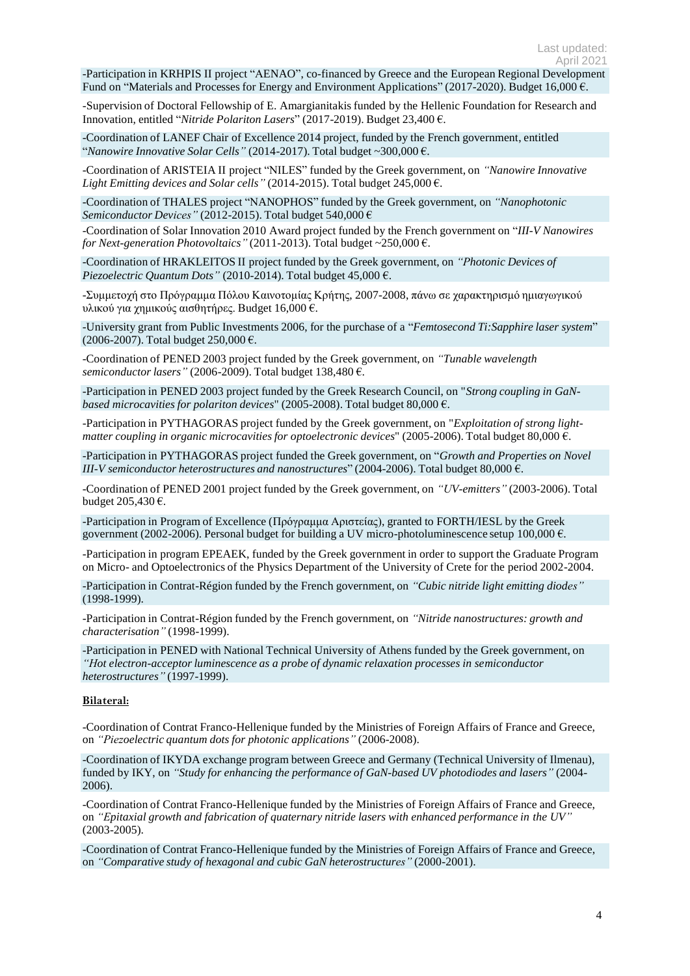-Participation in KRHPIS II project "AENAO", co-financed by Greece and the European Regional Development Fund on "Materials and Processes for Energy and Environment Applications" (2017-2020). Budget 16,000  $\epsilon$ .

-Supervision of Doctoral Fellowship of E. Amargianitakis funded by the Hellenic Foundation for Research and Innovation, entitled "*Nitride Polariton Lasers*" (2017-2019). Budget 23,400 €.

-Coordination of LANEF Chair of Excellence 2014 project, funded by the French government, entitled "*Nanowire Innovative Solar Cells"* (2014-2017). Total budget ~300,000 €.

-Coordination of ARISTEIA II project "NILES" funded by the Greek government, on *"Nanowire Innovative Light Emitting devices and Solar cells"* (2014-2015). Total budget 245,000 €.

-Coordination of THALES project "NANOPHOS" funded by the Greek government, on *"Nanophotonic Semiconductor Devices*" (2012-2015). Total budget 540,000  $\epsilon$ 

-Coordination of Solar Innovation 2010 Award project funded by the French government on "*III-V Nanowires for Next-generation Photovoltaics"* (2011-2013). Total budget ~250,000 €.

-Coordination of HRAKLEITOS II project funded by the Greek government, on *"Photonic Devices of Piezoelectric Quantum Dots"* (2010-2014). Total budget 45,000 €.

-Συμμετοχή στο Πρόγραμμα Πόλου Καινοτομίας Κρήτης, 2007-2008, πάνω σε χαρακτηρισμό ημιαγωγικού υλικού για χημικούς αισθητήρες. Βudget 16,000 €.

-University grant from Public Investments 2006, for the purchase of a "*Femtosecond Ti:Sapphire laser system*" (2006-2007). Total budget 250,000 €.

-Coordination of PENED 2003 project funded by the Greek government, on *"Tunable wavelength semiconductor lasers*" (2006-2009). Total budget 138,480 €.

-Participation in PENED 2003 project funded by the Greek Research Council, on "*Strong coupling in GaNbased microcavities for polariton devices*" (2005-2008). Total budget 80,000 €.

-Participation in PYTHAGORAS project funded by the Greek government, on "*Exploitation of strong lightmatter coupling in organic microcavities for optoelectronic devices*" (2005-2006). Total budget 80,000 €.

-Participation in PYTHAGORAS project funded the Greek government, on "*Growth and Properties on Novel III-V semiconductor heterostructures and nanostructures*" (2004-2006). Total budget 80,000 €.

-Coordination of PENED 2001 project funded by the Greek government, on *"UV-emitters"* (2003-2006). Total budget 205,430 €.

-Participation in Program of Excellence (Πρόγραμμα Αριστείας), granted to FORTH/IESL by the Greek government (2002-2006). Personal budget for building a UV micro-photoluminescence setup 100,000  $\epsilon$ .

-Participation in program EPEAEK, funded by the Greek government in order to support the Graduate Program on Micro- and Optoelectronics of the Physics Department of the University of Crete for the period 2002-2004.

-Participation in Contrat-Région funded by the French government, on *"Cubic nitride light emitting diodes"* (1998-1999).

-Participation in Contrat-Région funded by the French government, on *"Nitride nanostructures: growth and characterisation"* (1998-1999).

-Participation in PENED with National Technical University of Athens funded by the Greek government, on *"Hot electron-acceptorluminescence as a probe of dynamic relaxation processes in semiconductor heterostructures"* (1997-1999).

#### **Bilateral:**

-Coordination of Contrat Franco-Hellenique funded by the Ministries of Foreign Affairs of France and Greece, on *"Piezoelectric quantum dots for photonic applications"* (2006-2008).

-Coordination of IKYDA exchange program between Greece and Germany (Technical University of Ilmenau), funded by IKY, on *"Study for enhancing the performance of GaN-based UV photodiodes and lasers"* (2004- 2006).

-Coordination of Contrat Franco-Hellenique funded by the Ministries of Foreign Affairs of France and Greece, on *"Epitaxial growth and fabrication of quaternary nitride lasers with enhanced performance in the UV"*  (2003-2005).

-Coordination of Contrat Franco-Hellenique funded by the Ministries of Foreign Affairs of France and Greece, on *"Comparative study of hexagonal and cubic GaN heterostructures"* (2000-2001).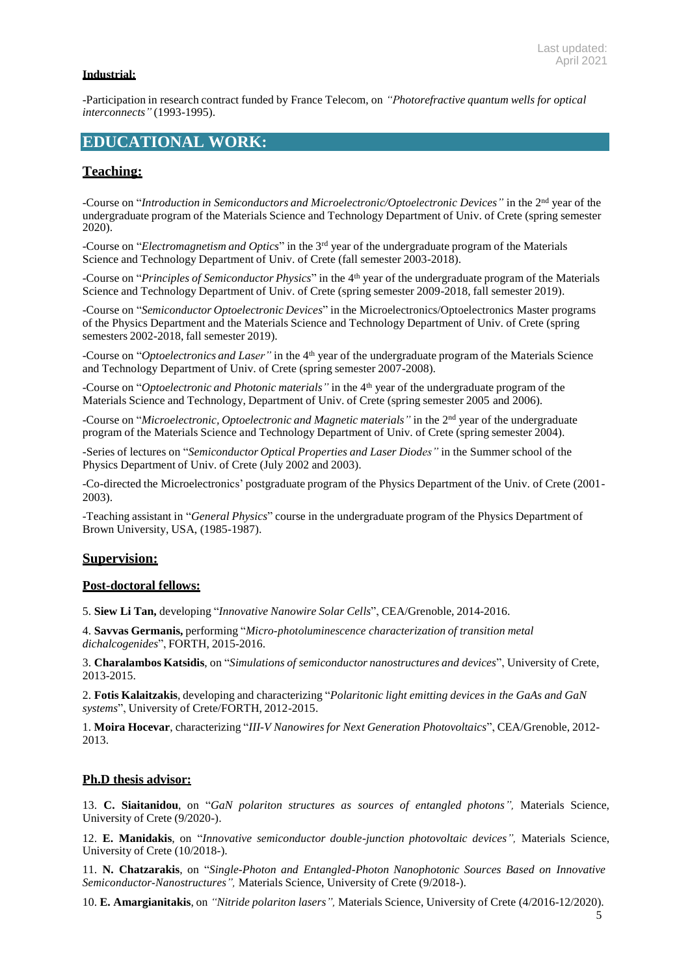### **Industrial:**

-Participation in research contract funded by France Telecom, on *"Photorefractive quantum wells for optical interconnects"* (1993-1995).

## **EDUCATIONAL WORK:**

### **Teaching:**

-Course on "Introduction in Semiconductors and Microelectronic/Optoelectronic Devices" in the 2<sup>nd</sup> year of the undergraduate program of the Materials Science and Technology Department of Univ. of Crete (spring semester 2020).

-Course on "*Electromagnetism and Optics*" in the 3 rd year of the undergraduate program of the Materials Science and Technology Department of Univ. of Crete (fall semester 2003-2018).

-Course on "*Principles of Semiconductor Physics*" in the 4 th year of the undergraduate program of the Materials Science and Technology Department of Univ. of Crete (spring semester 2009-2018, fall semester 2019).

-Course on "*Semiconductor Optoelectronic Devices*" in the Microelectronics/Optoelectronics Master programs of the Physics Department and the Materials Science and Technology Department of Univ. of Crete (spring semesters 2002-2018, fall semester 2019).

-Course on "*Optoelectronics and Laser"* in the 4 th year of the undergraduate program of the Materials Science and Technology Department of Univ. of Crete (spring semester 2007-2008).

-Course on "*Optoelectronic and Photonic materials"* in the 4 th year of the undergraduate program of the Materials Science and Technology, Department of Univ. of Crete (spring semester 2005 and 2006).

-Course on "Microelectronic, Optoelectronic and Magnetic materials" in the 2<sup>nd</sup> year of the undergraduate program of the Materials Science and Technology Department of Univ. of Crete (spring semester 2004).

-Series of lectures on "*Semiconductor Optical Properties and Laser Diodes"* in the Summer school of the Physics Department of Univ. of Crete (July 2002 and 2003).

-Co-directed the Microelectronics' postgraduate program of the Physics Department of the Univ. of Crete (2001- 2003).

-Teaching assistant in "*General Physics*" course in the undergraduate program of the Physics Department of Brown University, USA, (1985-1987).

#### **Supervision:**

#### **Post-doctoral fellows:**

5. **Siew Li Tan,** developing "*Innovative Nanowire Solar Cells*", CEA/Grenoble, 2014-2016.

4. **Savvas Germanis,** performing "*Micro-photoluminescence characterization of transition metal dichalcogenides*", FORTH, 2015-2016.

3. **Charalambos Katsidis**, on "*Simulations of semiconductor nanostructures and devices*", University of Crete, 2013-2015.

2. **Fotis Kalaitzakis**, developing and characterizing "*Polaritonic light emitting devices in the GaAs and GaN systems*", University of Crete/FORTH, 2012-2015.

1. **Moira Hocevar**, characterizing "*III-V Nanowires for Next Generation Photovoltaics*", CEA/Grenoble, 2012- 2013.

#### **Ph.D thesis advisor:**

13. **C. Siaitanidou**, on "*GaN polariton structures as sources of entangled photons",* Materials Science, University of Crete (9/2020-).

12. **E. Manidakis**, on "*Innovative semiconductor double-junction photovoltaic devices",* Materials Science, University of Crete (10/2018-).

11. **N. Chatzarakis**, on "*Single-Photon and Entangled-Photon Nanophotonic Sources Based on Innovative Semiconductor-Nanostructures",* Materials Science, University of Crete (9/2018-).

10. **E. Amargianitakis**, on *"Nitride polariton lasers",* Materials Science, University of Crete (4/2016-12/2020).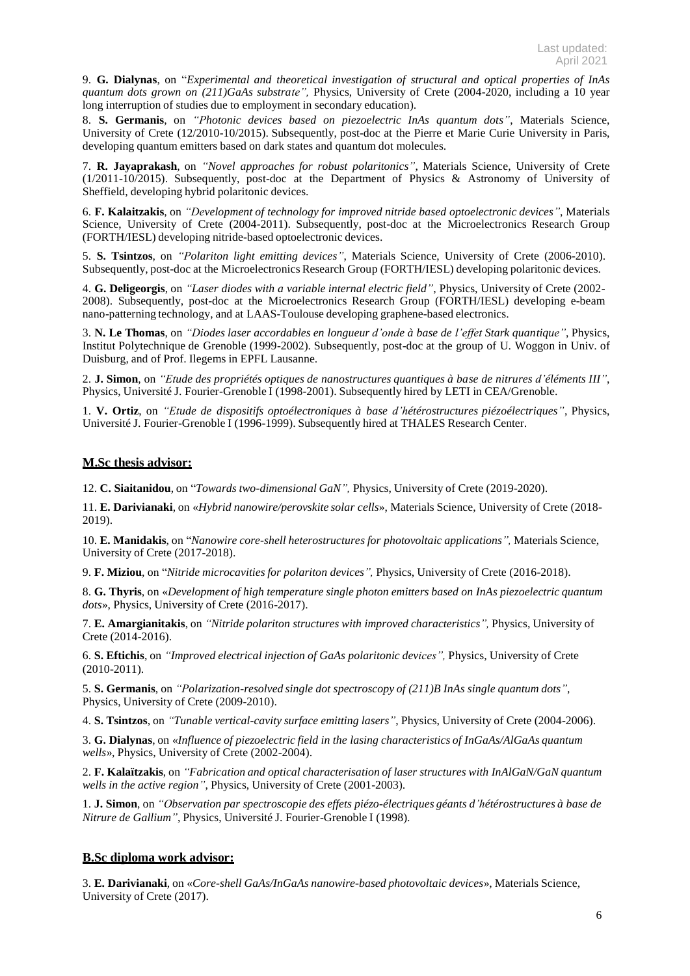9. **G. Dialynas**, on "*Experimental and theoretical investigation of structural and optical properties of InAs quantum dots grown on (211)GaAs substrate",* Physics, University of Crete (2004-2020, including a 10 year long interruption of studies due to employment in secondary education).

8. **S. Germanis**, on *"Photonic devices based on piezoelectric InAs quantum dots"*, Materials Science, University of Crete (12/2010-10/2015). Subsequently, post-doc at the Pierre et Marie Curie University in Paris, developing quantum emitters based on dark states and quantum dot molecules.

7. **R. Jayaprakash**, on *"Novel approaches for robust polaritonics"*, Materials Science, University of Crete (1/2011-10/2015). Subsequently, post-doc at the Department of Physics & Astronomy of University of Sheffield, developing hybrid polaritonic devices.

6. **F. Kalaitzakis**, on *"Development of technology for improved nitride based optoelectronic devices"*, Materials Science, University of Crete (2004-2011). Subsequently, post-doc at the Microelectronics Research Group (FORTH/IESL) developing nitride-based optoelectronic devices.

5. **S. Tsintzos**, on *"Polariton light emitting devices"*, Materials Science, University of Crete (2006-2010). Subsequently, post-doc at the Microelectronics Research Group (FORTH/IESL) developing polaritonic devices.

4. **G. Deligeorgis**, on *"Laser diodes with a variable internal electric field"*, Physics, University of Crete (2002- 2008). Subsequently, post-doc at the Microelectronics Research Group (FORTH/IESL) developing e-beam nano-patterning technology, and at LAAS-Toulouse developing graphene-based electronics.

3. **N. Le Thomas**, on *"Diodes laser accordables en longueur d'onde à base de l'effet Stark quantique"*, Physics, Institut Polytechnique de Grenoble (1999-2002). Subsequently, post-doc at the group of U. Woggon in Univ. of Duisburg, and of Prof. Ilegems in EPFL Lausanne.

2. **J. Simon**, on *"Etude des propriétés optiques de nanostructures quantiques à base de nitrures d'éléments III"*, Physics, Université J. Fourier-Grenoble I (1998-2001). Subsequently hired by LETI in CEA/Grenoble.

1. **V. Ortiz**, on *"Etude de dispositifs optoélectroniques à base d'hétérostructures piézoélectriques"*, Physics, Université J. Fourier-Grenoble I (1996-1999). Subsequently hired at THALES Research Center.

#### **M.Sc thesis advisor:**

12. **C. Siaitanidou**, on "*Towards two-dimensional GaN",* Physics, University of Crete (2019-2020).

11. **E. Darivianaki**, on «*Hybrid nanowire/perovskite solar cells*», Materials Science, University of Crete (2018- 2019).

10. **E. Manidakis**, on "*Nanowire core-shell heterostructures for photovoltaic applications",* Materials Science, University of Crete (2017-2018).

9. **F. Miziou**, on "*Nitride microcavities for polariton devices",* Physics, University of Crete (2016-2018).

8. **G. Thyris**, on «*Development of high temperature single photon emitters based on InAs piezoelectric quantum dots*», Physics, University of Crete (2016-2017).

7. **E. Amargianitakis**, on *"Nitride polariton structures with improved characteristics",* Physics, University of Crete (2014-2016).

6. **S. Eftichis**, on *"Improved electrical injection of GaAs polaritonic devices",* Physics, University of Crete (2010-2011).

5. **S. Germanis**, on *"Polarization-resolved single dot spectroscopy of (211)B InAs single quantum dots"*, Physics, University of Crete (2009-2010).

4. **S. Tsintzos**, on *"Tunable vertical-cavity surface emitting lasers"*, Physics, University of Crete (2004-2006).

3. **G. Dialynas**, on «*Influence of piezoelectric field in the lasing characteristics of InGaAs/AlGaAs quantum wells*», Physics, University of Crete (2002-2004).

2. **F. Kalaïtzakis**, on *"Fabrication and optical characterisation of laser structures with InAlGaN/GaN quantum wells in the active region"*, Physics, University of Crete (2001-2003).

1. **J. Simon**, on *"Observation par spectroscopie des effets piézo-électriques géants d'hétérostructures à base de Nitrure de Gallium"*, Physics, Université J. Fourier-Grenoble I (1998).

### **B.Sc diploma work advisor:**

3. **E. Darivianaki**, on «*Core-shell GaAs/InGaAs nanowire-based photovoltaic devices*», Materials Science, University of Crete (2017).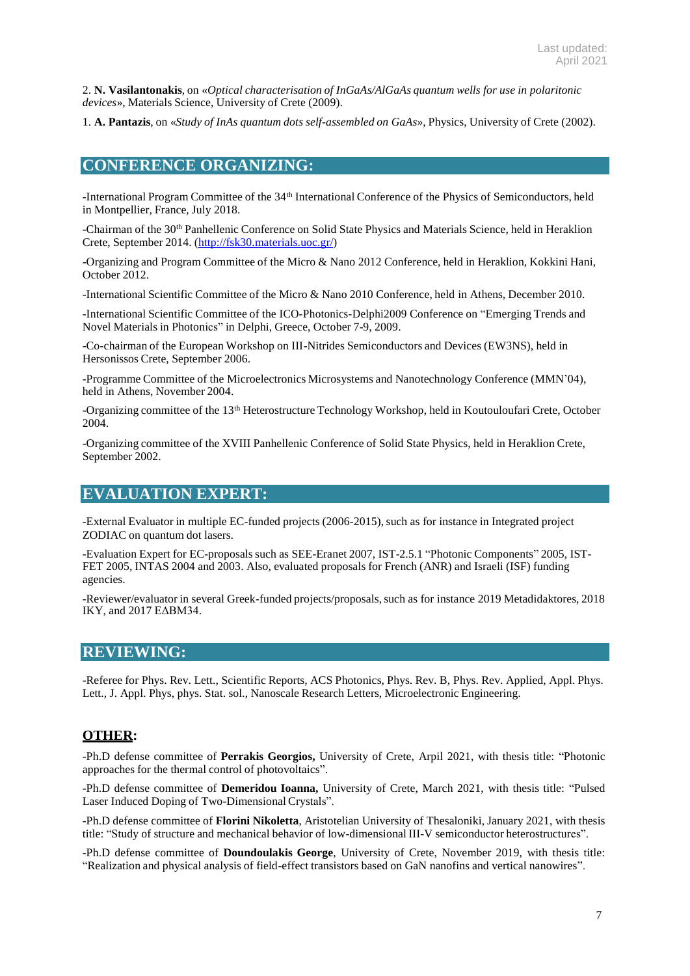2. **N. Vasilantonakis**, on «*Optical characterisation of InGaAs/AlGaAs quantum wells for use in polaritonic devices*», Materials Science, University of Crete (2009).

1. **A. Pantazis**, on «*Study of InAs quantum dots self-assembled on GaAs*», Physics, University of Crete (2002).

### **CONFERENCE ORGANIZING:**

-International Program Committee of the 34<sup>th</sup> International Conference of the Physics of Semiconductors, held in Montpellier, France, July 2018.

-Chairman of the 30<sup>th</sup> Panhellenic Conference on Solid State Physics and Materials Science, held in Heraklion Crete, September 2014. [\(http://fsk30.materials.uoc.gr/\)](http://fsk30.materials.uoc.gr/)

-Organizing and Program Committee of the Micro & Nano 2012 Conference, held in Heraklion, Kokkini Hani, October 2012.

-International Scientific Committee of the Micro & Nano 2010 Conference, held in Athens, December 2010.

-International Scientific Committee of the ICO-Photonics-Delphi2009 Conference on "Emerging Trends and Novel Materials in Photonics" in Delphi, Greece, October 7-9, 2009.

-Co-chairman of the European Workshop on III-Nitrides Semiconductors and Devices (EW3NS), held in Hersonissos Crete, September 2006.

-Programme Committee of the Microelectronics Microsystems and Nanotechnology Conference (MMN'04), held in Athens, November 2004.

-Organizing committee of the 13<sup>th</sup> Heterostructure Technology Workshop, held in Koutouloufari Crete, October 2004.

-Organizing committee of the XVIII Panhellenic Conference of Solid State Physics, held in Heraklion Crete, September 2002.

### **EVALUATION EXPERT:**

-External Evaluator in multiple EC-funded projects (2006-2015), such as for instance in Integrated project ZODIAC on quantum dot lasers.

-Evaluation Expert for EC-proposalssuch as SEE-Eranet 2007, IST-2.5.1 "Photonic Components" 2005, IST-FET 2005, INTAS 2004 and 2003. Also, evaluated proposals for French (ANR) and Israeli (ISF) funding agencies.

-Reviewer/evaluator in several Greek-funded projects/proposals, such as for instance 2019 Metadidaktores, 2018 IKY, and 2017 ΕΔΒΜ34.

### **REVIEWING:**

-Referee for Phys. Rev. Lett., Scientific Reports, ACS Photonics, Phys. Rev. B, Phys. Rev. Applied, Appl. Phys. Lett., J. Appl. Phys, phys. Stat. sol., Nanoscale Research Letters, Microelectronic Engineering.

### **OTHER:**

-Ph.D defense committee of **Perrakis Georgios,** University of Crete, Arpil 2021, with thesis title: "Photonic approaches for the thermal control of photovoltaics".

-Ph.D defense committee of **Demeridou Ioanna,** University of Crete, March 2021, with thesis title: "Pulsed Laser Induced Doping of Two-Dimensional Crystals".

-Ph.D defense committee of **Florini Nikoletta**, Aristotelian University of Thesaloniki, January 2021, with thesis title: "Study of structure and mechanical behavior of low-dimensional III-V semiconductor heterostructures".

-Ph.D defense committee of **Doundoulakis George**, University of Crete, November 2019, with thesis title: "Realization and physical analysis of field-effect transistors based on GaN nanofins and vertical nanowires".